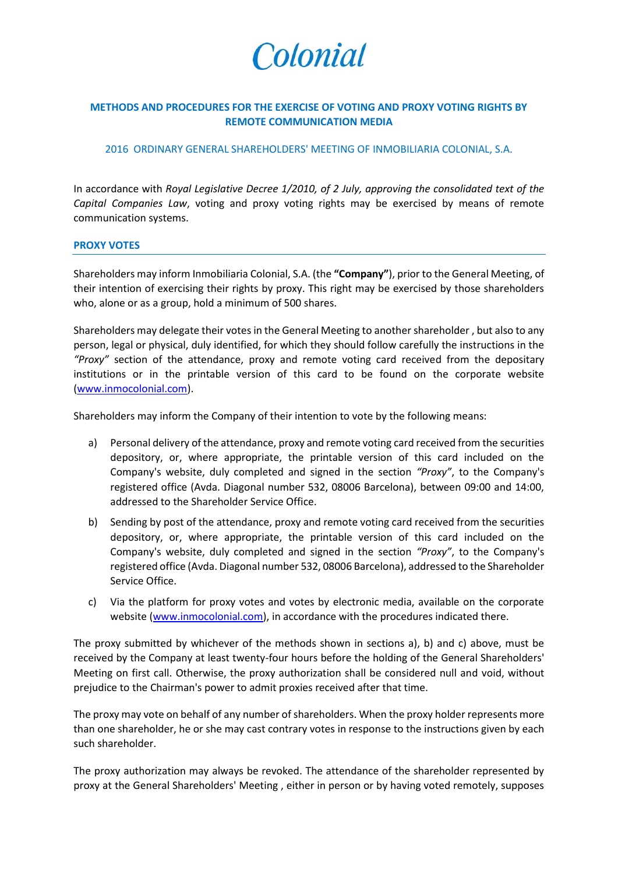

# **METHODS AND PROCEDURES FOR THE EXERCISE OF VOTING AND PROXY VOTING RIGHTS BY REMOTE COMMUNICATION MEDIA**

#### 2016 ORDINARY GENERAL SHAREHOLDERS' MEETING OF INMOBILIARIA COLONIAL, S.A.

In accordance with *Royal Legislative Decree 1/2010, of 2 July, approving the consolidated text of the Capital Companies Law*, voting and proxy voting rights may be exercised by means of remote communication systems.

#### **PROXY VOTES**

Shareholders may inform Inmobiliaria Colonial, S.A. (the **"Company"**), prior to the General Meeting, of their intention of exercising their rights by proxy. This right may be exercised by those shareholders who, alone or as a group, hold a minimum of 500 shares.

Shareholders may delegate their votes in the General Meeting to another shareholder , but also to any person, legal or physical, duly identified, for which they should follow carefully the instructions in the *"Proxy"* section of the attendance, proxy and remote voting card received from the depositary institutions or in the printable version of this card to be found on the corporate website [\(www.inmocolonial.com\)](http://www.inmocolonial.com/).

Shareholders may inform the Company of their intention to vote by the following means:

- a) Personal delivery of the attendance, proxy and remote voting card received from the securities depository, or, where appropriate, the printable version of this card included on the Company's website, duly completed and signed in the section *"Proxy"*, to the Company's registered office (Avda. Diagonal number 532, 08006 Barcelona), between 09:00 and 14:00, addressed to the Shareholder Service Office.
- b) Sending by post of the attendance, proxy and remote voting card received from the securities depository, or, where appropriate, the printable version of this card included on the Company's website, duly completed and signed in the section *"Proxy"*, to the Company's registered office (Avda. Diagonal number 532, 08006 Barcelona), addressed to the Shareholder Service Office.
- c) Via the platform for proxy votes and votes by electronic media, available on the corporate website [\(www.inmocolonial.com\)](http://www.inmocolonial.com/), in accordance with the procedures indicated there.

The proxy submitted by whichever of the methods shown in sections a), b) and c) above, must be received by the Company at least twenty-four hours before the holding of the General Shareholders' Meeting on first call. Otherwise, the proxy authorization shall be considered null and void, without prejudice to the Chairman's power to admit proxies received after that time.

The proxy may vote on behalf of any number of shareholders. When the proxy holder represents more than one shareholder, he or she may cast contrary votes in response to the instructions given by each such shareholder.

The proxy authorization may always be revoked. The attendance of the shareholder represented by proxy at the General Shareholders' Meeting , either in person or by having voted remotely, supposes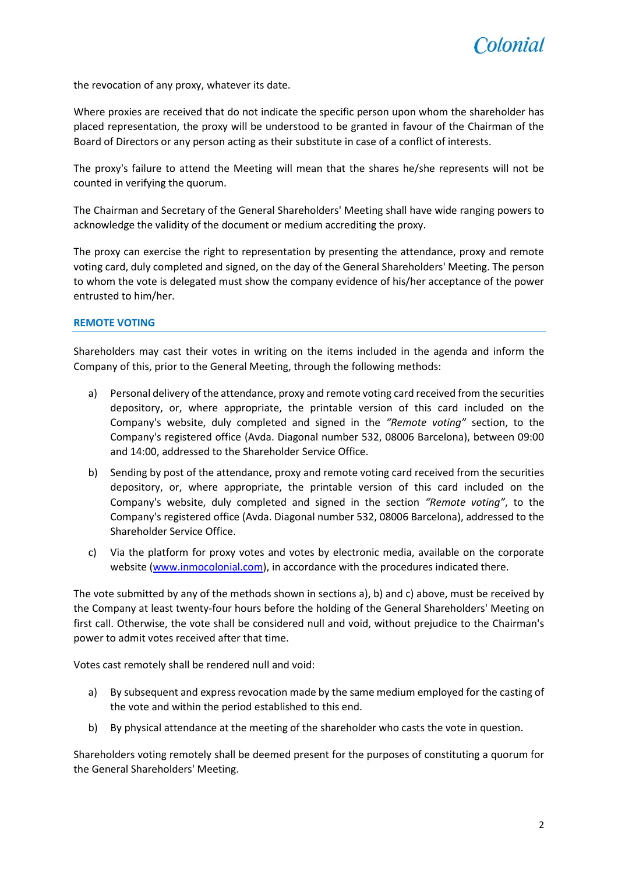

the revocation of any proxy, whatever its date.

Where proxies are received that do not indicate the specific person upon whom the shareholder has placed representation, the proxy will be understood to be granted in favour of the Chairman of the Board of Directors or any person acting as their substitute in case of a conflict of interests.

The proxy's failure to attend the Meeting will mean that the shares he/she represents will not be counted in verifying the quorum.

The Chairman and Secretary of the General Shareholders' Meeting shall have wide ranging powers to acknowledge the validity of the document or medium accrediting the proxy.

The proxy can exercise the right to representation by presenting the attendance, proxy and remote voting card, duly completed and signed, on the day of the General Shareholders' Meeting. The person to whom the vote is delegated must show the company evidence of his/her acceptance of the power entrusted to him/her.

### **REMOTE VOTING**

Shareholders may cast their votes in writing on the items included in the agenda and inform the Company of this, prior to the General Meeting, through the following methods:

- a) Personal delivery of the attendance, proxy and remote voting card received from the securities depository, or, where appropriate, the printable version of this card included on the Company's website, duly completed and signed in the *"Remote voting"* section, to the Company's registered office (Avda. Diagonal number 532, 08006 Barcelona), between 09:00 and 14:00, addressed to the Shareholder Service Office.
- b) Sending by post of the attendance, proxy and remote voting card received from the securities depository, or, where appropriate, the printable version of this card included on the Company's website, duly completed and signed in the section *"Remote voting"*, to the Company's registered office (Avda. Diagonal number 532, 08006 Barcelona), addressed to the Shareholder Service Office.
- c) Via the platform for proxy votes and votes by electronic media, available on the corporate website [\(www.inmocolonial.com\)](http://www.inmocolonial.com/), in accordance with the procedures indicated there.

The vote submitted by any of the methods shown in sections a), b) and c) above, must be received by the Company at least twenty-four hours before the holding of the General Shareholders' Meeting on first call. Otherwise, the vote shall be considered null and void, without prejudice to the Chairman's power to admit votes received after that time.

Votes cast remotely shall be rendered null and void:

- a) By subsequent and express revocation made by the same medium employed for the casting of the vote and within the period established to this end.
- b) By physical attendance at the meeting of the shareholder who casts the vote in question.

Shareholders voting remotely shall be deemed present for the purposes of constituting a quorum for the General Shareholders' Meeting.